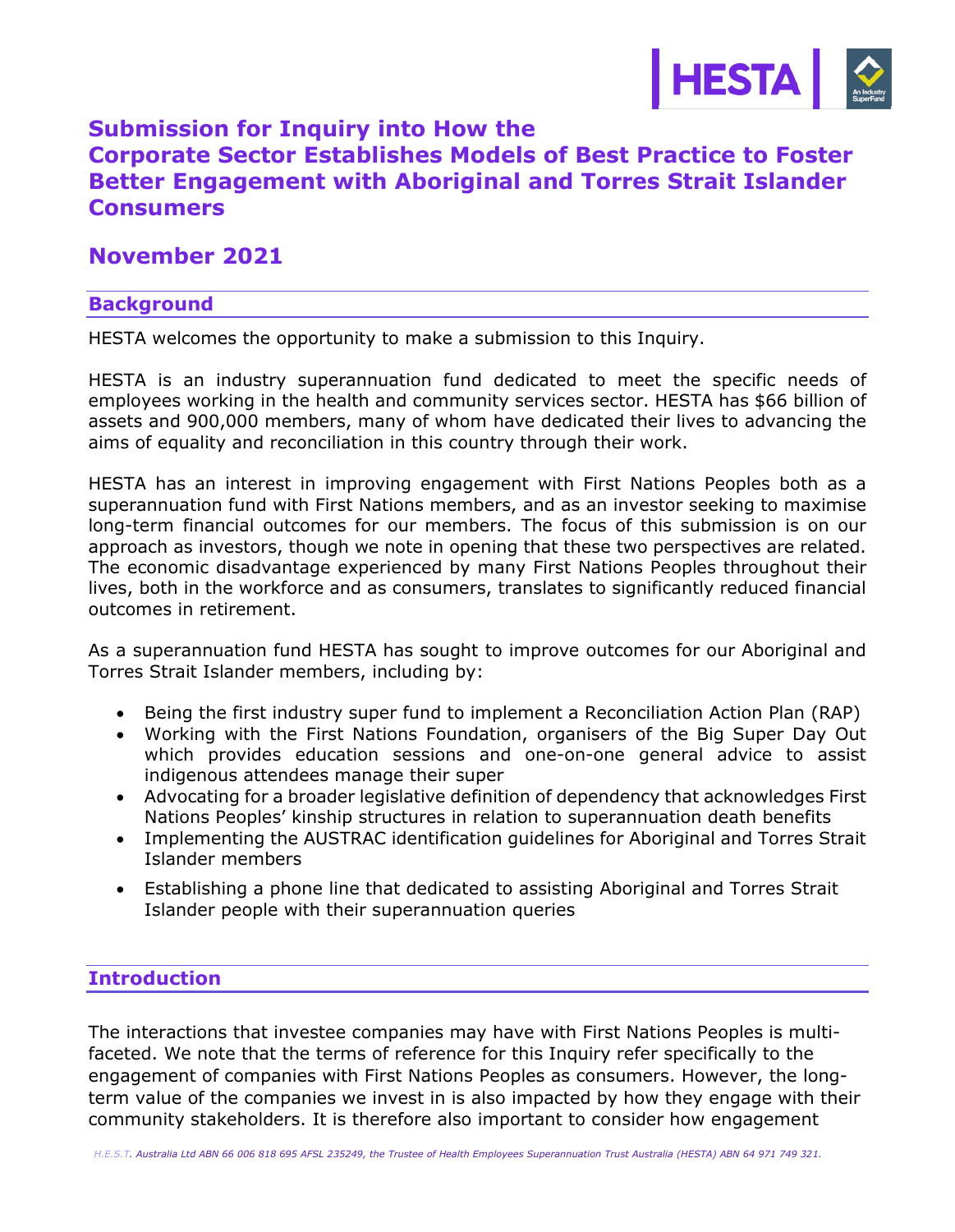

# **Submission for Inquiry into How the Corporate Sector Establishes Models of Best Practice to Foster Better Engagement with Aboriginal and Torres Strait Islander Consumers**

# **November 2021**

#### **Background**

HESTA welcomes the opportunity to make a submission to this Inquiry.

HESTA is an industry superannuation fund dedicated to meet the specific needs of employees working in the health and community services sector. HESTA has \$66 billion of assets and 900,000 members, many of whom have dedicated their lives to advancing the aims of equality and reconciliation in this country through their work.

HESTA has an interest in improving engagement with First Nations Peoples both as a superannuation fund with First Nations members, and as an investor seeking to maximise long-term financial outcomes for our members. The focus of this submission is on our approach as investors, though we note in opening that these two perspectives are related. The economic disadvantage experienced by many First Nations Peoples throughout their lives, both in the workforce and as consumers, translates to significantly reduced financial outcomes in retirement.

As a superannuation fund HESTA has sought to improve outcomes for our Aboriginal and Torres Strait Islander members, including by:

- Being the first industry super fund to implement a Reconciliation Action Plan (RAP)
- Working with the First Nations Foundation, organisers of the Big Super Day Out which provides education sessions and one-on-one general advice to assist indigenous attendees manage their super
- Advocating for a broader legislative definition of dependency that acknowledges First Nations Peoples' kinship structures in relation to superannuation death benefits
- Implementing the AUSTRAC identification guidelines for Aboriginal and Torres Strait Islander members
- Establishing a phone line that dedicated to assisting Aboriginal and Torres Strait Islander people with their superannuation queries

# **Introduction**

The interactions that investee companies may have with First Nations Peoples is multifaceted. We note that the terms of reference for this Inquiry refer specifically to the engagement of companies with First Nations Peoples as consumers. However, the longterm value of the companies we invest in is also impacted by how they engage with their community stakeholders. It is therefore also important to consider how engagement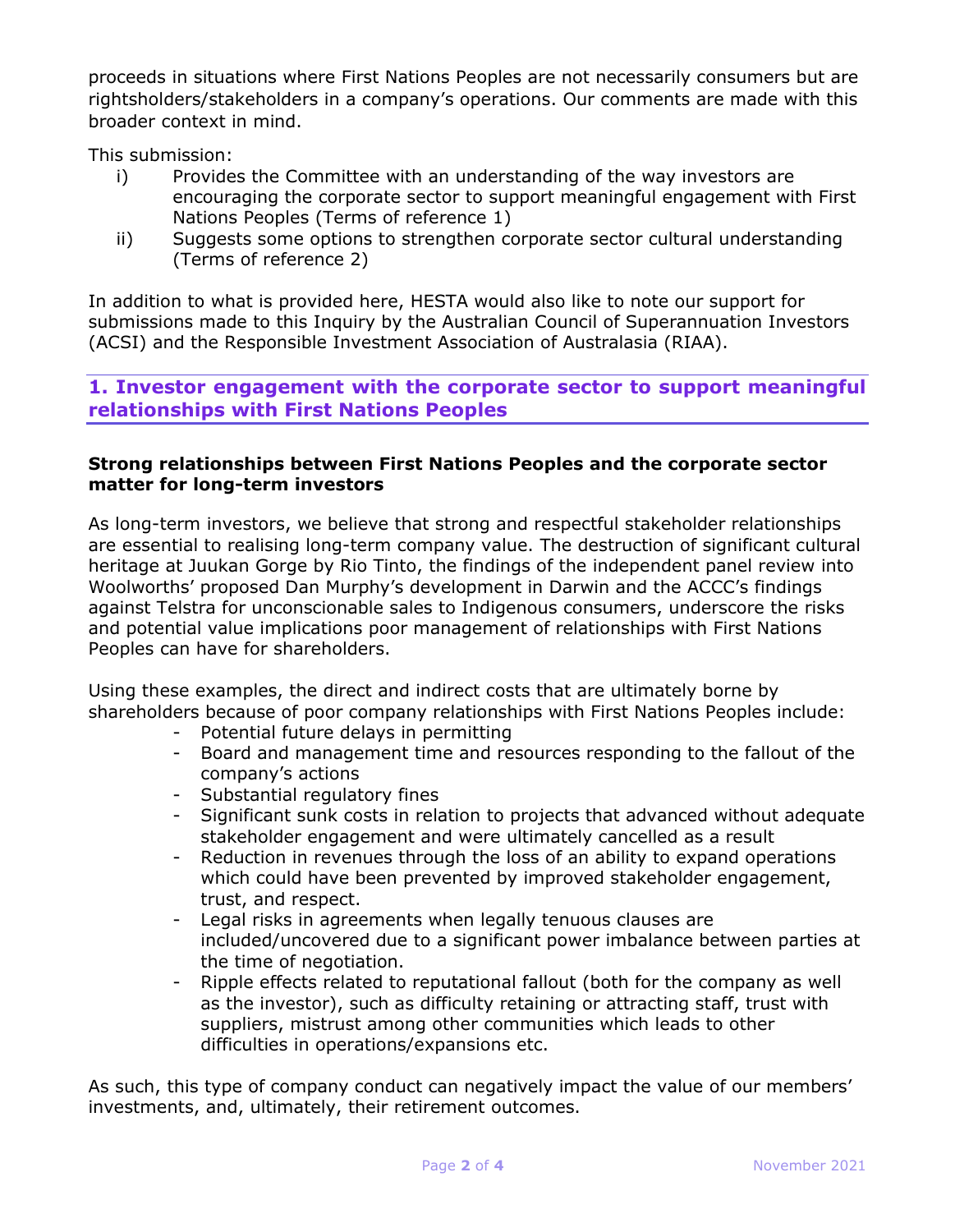proceeds in situations where First Nations Peoples are not necessarily consumers but are rightsholders/stakeholders in a company's operations. Our comments are made with this broader context in mind.

This submission:

- i) Provides the Committee with an understanding of the way investors are encouraging the corporate sector to support meaningful engagement with First Nations Peoples (Terms of reference 1)
- ii) Suggests some options to strengthen corporate sector cultural understanding (Terms of reference 2)

In addition to what is provided here, HESTA would also like to note our support for submissions made to this Inquiry by the Australian Council of Superannuation Investors (ACSI) and the Responsible Investment Association of Australasia (RIAA).

# **1. Investor engagement with the corporate sector to support meaningful relationships with First Nations Peoples**

#### **Strong relationships between First Nations Peoples and the corporate sector matter for long-term investors**

As long-term investors, we believe that strong and respectful stakeholder relationships are essential to realising long-term company value. The destruction of significant cultural heritage at Juukan Gorge by Rio Tinto, the findings of the independent panel review into Woolworths' proposed Dan Murphy's development in Darwin and the ACCC's findings against Telstra for unconscionable sales to Indigenous consumers, underscore the risks and potential value implications poor management of relationships with First Nations Peoples can have for shareholders.

Using these examples, the direct and indirect costs that are ultimately borne by shareholders because of poor company relationships with First Nations Peoples include:

- Potential future delays in permitting
- Board and management time and resources responding to the fallout of the company's actions
- Substantial regulatory fines
- Significant sunk costs in relation to projects that advanced without adequate stakeholder engagement and were ultimately cancelled as a result
- Reduction in revenues through the loss of an ability to expand operations which could have been prevented by improved stakeholder engagement, trust, and respect.
- Legal risks in agreements when legally tenuous clauses are included/uncovered due to a significant power imbalance between parties at the time of negotiation.
- Ripple effects related to reputational fallout (both for the company as well as the investor), such as difficulty retaining or attracting staff, trust with suppliers, mistrust among other communities which leads to other difficulties in operations/expansions etc.

As such, this type of company conduct can negatively impact the value of our members' investments, and, ultimately, their retirement outcomes.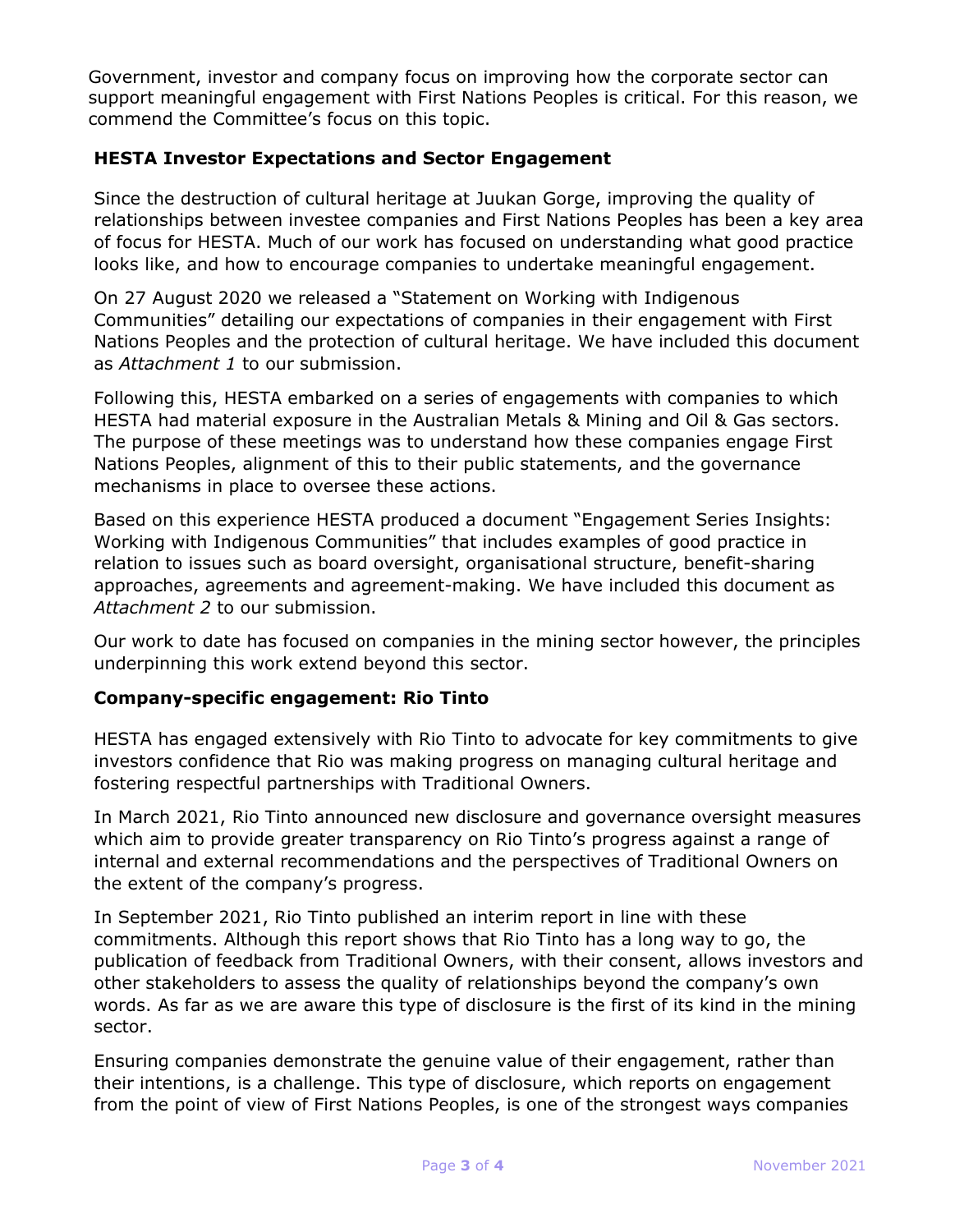Government, investor and company focus on improving how the corporate sector can support meaningful engagement with First Nations Peoples is critical. For this reason, we commend the Committee's focus on this topic.

#### **HESTA Investor Expectations and Sector Engagement**

Since the destruction of cultural heritage at Juukan Gorge, improving the quality of relationships between investee companies and First Nations Peoples has been a key area of focus for HESTA. Much of our work has focused on understanding what good practice looks like, and how to encourage companies to undertake meaningful engagement.

On 27 August 2020 we released a "Statement on Working with Indigenous Communities" detailing our expectations of companies in their engagement with First Nations Peoples and the protection of cultural heritage. We have included this document as *Attachment 1* to our submission.

Following this, HESTA embarked on a series of engagements with companies to which HESTA had material exposure in the Australian Metals & Mining and Oil & Gas sectors. The purpose of these meetings was to understand how these companies engage First Nations Peoples, alignment of this to their public statements, and the governance mechanisms in place to oversee these actions.

Based on this experience HESTA produced a document "Engagement Series Insights: Working with Indigenous Communities" that includes examples of good practice in relation to issues such as board oversight, organisational structure, benefit-sharing approaches, agreements and agreement-making. We have included this document as *Attachment 2* to our submission.

Our work to date has focused on companies in the mining sector however, the principles underpinning this work extend beyond this sector.

#### **Company-specific engagement: Rio Tinto**

HESTA has engaged extensively with Rio Tinto to advocate for key commitments to give investors confidence that Rio was making progress on managing cultural heritage and fostering respectful partnerships with Traditional Owners.

In March 2021, Rio Tinto announced new disclosure and governance oversight measures which aim to provide greater transparency on Rio Tinto's progress against a range of internal and external recommendations and the perspectives of Traditional Owners on the extent of the company's progress.

In September 2021, Rio Tinto published an interim report in line with these commitments. Although this report shows that Rio Tinto has a long way to go, the publication of feedback from Traditional Owners, with their consent, allows investors and other stakeholders to assess the quality of relationships beyond the company's own words. As far as we are aware this type of disclosure is the first of its kind in the mining sector.

Ensuring companies demonstrate the genuine value of their engagement, rather than their intentions, is a challenge. This type of disclosure, which reports on engagement from the point of view of First Nations Peoples, is one of the strongest ways companies